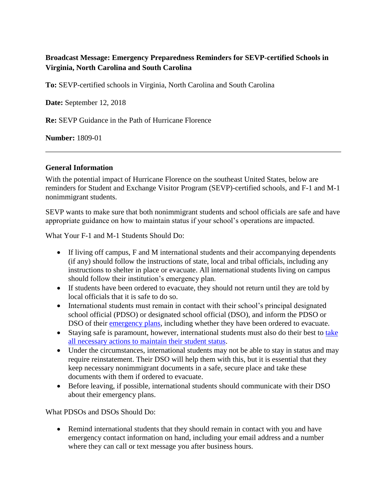## **Broadcast Message: Emergency Preparedness Reminders for SEVP-certified Schools in Virginia, North Carolina and South Carolina**

**To:** SEVP-certified schools in Virginia, North Carolina and South Carolina

**Date:** September 12, 2018

**Re:** SEVP Guidance in the Path of Hurricane Florence

**Number:** 1809-01

## **General Information**

With the potential impact of Hurricane Florence on the southeast United States, below are reminders for Student and Exchange Visitor Program (SEVP)-certified schools, and F-1 and M-1 nonimmigrant students.

SEVP wants to make sure that both nonimmigrant students and school officials are safe and have appropriate guidance on how to maintain status if your school's operations are impacted.

What Your F-1 and M-1 Students Should Do:

- If living off campus, F and M international students and their accompanying dependents (if any) should follow the instructions of state, local and tribal officials, including any instructions to shelter in place or evacuate. All international students living on campus should follow their institution's emergency plan.
- If students have been ordered to evacuate, they should not return until they are told by local officials that it is safe to do so.
- International students must remain in contact with their school's principal designated school official (PDSO) or designated school official (DSO), and inform the PDSO or DSO of their [emergency plans,](https://studyinthestates.dhs.gov/2018/06/preparing-your-students-in-case-of-emergency-events) including whether they have been ordered to evacuate.
- Staying safe is paramount, however, international students must also do their best to take [all necessary actions to maintain their student status.](https://studyinthestates.dhs.gov/maintain-f-and-m-status-in-emergency-events)
- Under the circumstances, international students may not be able to stay in status and may require reinstatement. Their DSO will help them with this, but it is essential that they keep necessary nonimmigrant documents in a safe, secure place and take these documents with them if ordered to evacuate.
- Before leaving, if possible, international students should communicate with their DSO about their emergency plans.

What PDSOs and DSOs Should Do:

• Remind international students that they should remain in contact with you and have emergency contact information on hand, including your email address and a number where they can call or text message you after business hours.